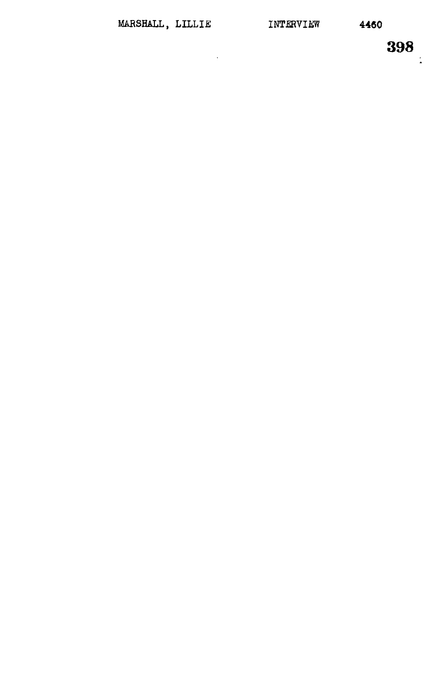$\overline{a}$ 

 $\frac{1}{4}$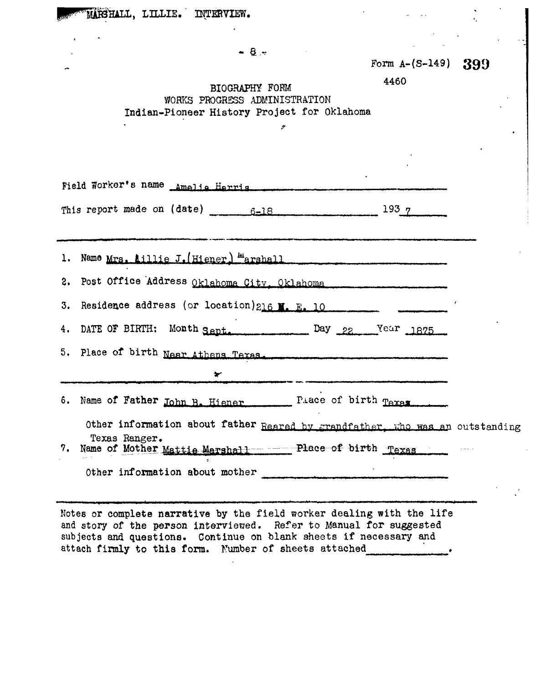| MARSHALL, LILLIE. INTERVIEW.                                                                                                                                                                                                                                              |  |
|---------------------------------------------------------------------------------------------------------------------------------------------------------------------------------------------------------------------------------------------------------------------------|--|
|                                                                                                                                                                                                                                                                           |  |
| $-9-$<br>Form $A-(S-149)$ 399                                                                                                                                                                                                                                             |  |
| 4460<br>BIOGRAPHY FORM<br>WORKS PROGRESS ADMINISTRATION                                                                                                                                                                                                                   |  |
| Indian-Pioneer History Project for Oklahoma                                                                                                                                                                                                                               |  |
|                                                                                                                                                                                                                                                                           |  |
| Field Worker's name Amalia Harris                                                                                                                                                                                                                                         |  |
| $193 - 7$                                                                                                                                                                                                                                                                 |  |
| 1. Name Mrs. Aillie J. (Hiener) Marshall                                                                                                                                                                                                                                  |  |
| 2. Post Office Address Oklahoma City, Oklahoma                                                                                                                                                                                                                            |  |
| 3. Residence address (or location) 216 M. E. 10                                                                                                                                                                                                                           |  |
| DATE OF BIRTH: Month Sept. Day 22 Year 1875<br>4.                                                                                                                                                                                                                         |  |
| 5. Place of birth Near Athens Texas                                                                                                                                                                                                                                       |  |
| ₩                                                                                                                                                                                                                                                                         |  |
| Place of birth Taxas.<br>6. Name of Father John B. Hiener                                                                                                                                                                                                                 |  |
| Other information about father Reared by grandfather, who was an outstanding<br>Texas Ranger.<br>Name of Mother Mattie Marshall ----- Place of birth Texas<br>7.                                                                                                          |  |
| Other information about mother                                                                                                                                                                                                                                            |  |
|                                                                                                                                                                                                                                                                           |  |
| Notes or complete narrative by the field worker dealing with the life<br>and story of the person interviewed. Refer to Manual for suggested<br>subjects and questions. Continue on blank sheets if necessary and<br>attach firmly to this form. Number of sheets attached |  |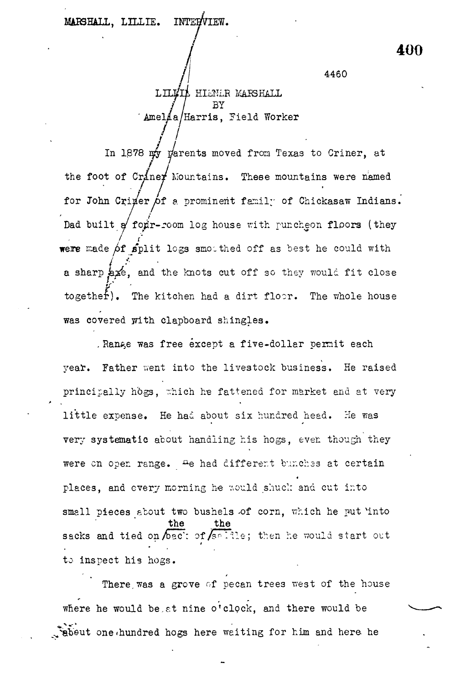4460

**400**

LILMIA HIENER MARSHALL BY 'Amelaa/Harris, Field Worker

/ In 1878  $\frac{1}{4}$  parents moved from Texas to Criner, at the foot of Craner Mountains. These mountains were named for John Criner of a prominent family of Chickasaw Indians. Dad built  $g'$  for  $r$ -room log house with puncheon floors (they were made  $\beta f$  split logs smothed off as best he could with a sharp axe, and the knots cut off so they would fit close together). The kitchen had a dirt floor. The whole house was covered with clapboard shingles.

Range was free except a five-dollar permit each year. Father went into the livestock business. He raised principally hogs. Thich he fattened for market and at very little expense. He had about six hundred head. He was very systematic about handling his hogs, even though they were on open range. He had different bunches at certain were en open range range.<br>A e had different by the certain and certain into \* small pieces about two bushels of corn, which he put into  $\mathbf{b}$  bushels  $\mathbf{c}$  the put  $\mathbf{b}$  corn, which he put  $\mathbf{b}$  corn, which he put  $\mathbf{b}$  corn, which he put  $\mathbf{b}$  corn, which he put  $\mathbf{b}$  corn, which he put  $\mathbf{b}$  corn, which he put  $\mathbf{b}$  corn, whic sacks and tied on bac: of salle; then he would start out to inspect his hogs.

There was a grove of pecan trees west of the house where he would be at nine o'clock, and there would be where he weiting for him and here he

one-hundred hogs here waiting for him and here he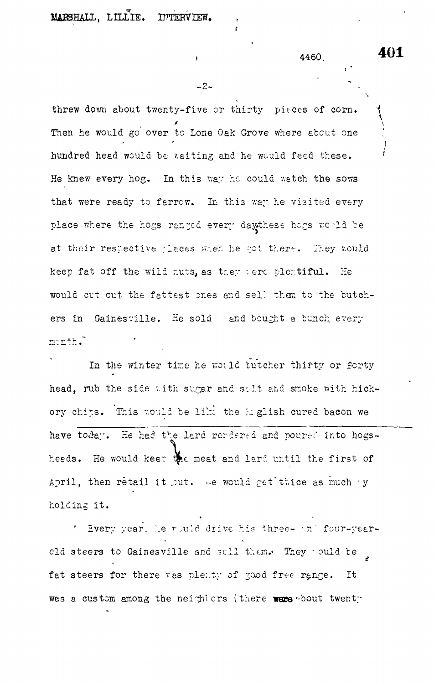MARSHALL, LILLIE. INTERVIEW.

4460

threw down about twenty-five or thirty pieces of corn. Then he would go over to Lone Oak Grove where about one hundred head would be waiting and he would feed these. He knew every hog. In this way he could watch the sows that were ready to farrow. In this way he visited every place where the hogs ranged every daythese hogs would be at their respective places when he got there. They would keep fat off the wild nuts, as they sere plentiful. He would cut out the fattest ones and sell them to the butchers in Gainesville. He sold and bought a bunch every  $m$ cnth.

In the winter time he would butcher thirty or forty head, rub the side with sugar and salt and smoke with hickory chips. This would be like the English cured bacon we have today. He had the lard rendered and poured into hogsheeds. He would keep the meat and lard until the first of April, then retail it put. Alle would get twice as much by holding it.

\* Every year. Le would drive his three- and four-yearcld steers to Gainesville and sell them. They culd be fat steers for there vas plenty of good free range. It was a custom among the neightors (there were bout twenty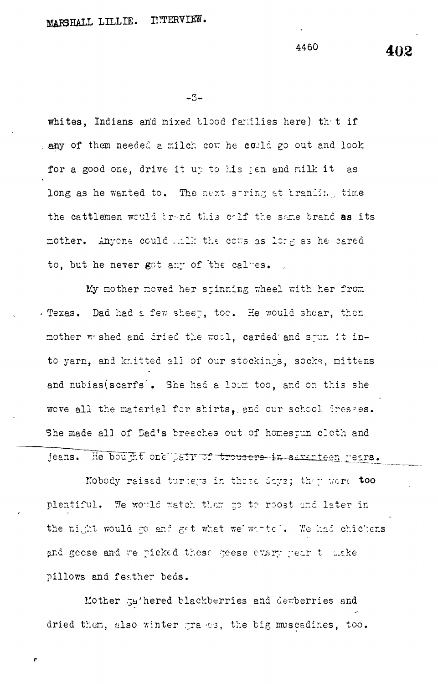4460

whites. Indians and mixed tlood families here) that if any of them needed a milch cow he could go out and look for a good one, drive it up to his jen and milk it as long as he wanted to. The next string at tranding time the cattlemen would brend this calf the same brand as its mother. Anyone could wilk the cows as long as he cared to, but he never got any of the calves.

My mother noved her spinning wheel with her from . Texas. Dad had a few sheep, too. He would shear, then mother w shed and dried the wool, carded and spun it into yarn, and knitted all of our stockings, socks, mittens and nubias(scarfs). She had a loom too, and on this she wove all the material for shirts, and our school dresses. She made all of Dad's breeches out of homesrun cloth and jeans. He bought one pair of trousers in savanteen rears.

Nobody raised turiers in those days; they were too plentiful. We would watch tham go to roost and later in the night would go and get what we wortel. We had chickens and geese and we picked these geese every year to make pillows and feather beds.

Mother gathered blackberries and dewberries and dried them, also winter grands, the big muscadines, too. 402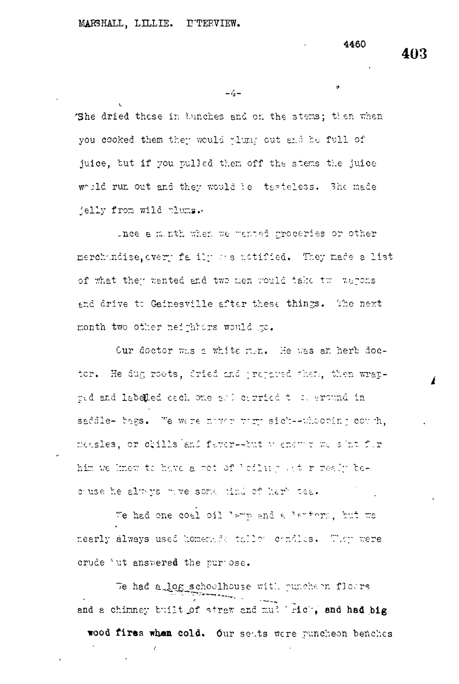4460

 $-\frac{1}{2}$ 

'She dried these in bunches and on the stems; then when you cooked them they would whund out and be full of juice, but if you pulled them off the stems the juice would run out and they would be tasteless. She made jelly from wild plums.

thee a minth when we wanted groceries or other merchandise. every fally as notified. They made a list of what they wanted and two men would take two warons and drive to Gainesville after these things. The next month two other neighbors would go.

Cur doctor was a white men. He was an herb doctor. He dug roots, dried and propared them, then wrapred and labelled each one and corried to a ground in saddle- bags. We were nover were sick--whooping couch, measles, or chills and fever--but wenews we shat for him we knew to have a rot of 'cilmg at r realy because he always may some tind of her tea.

We had one coal oil lamp and a lantorm, but we nearly always used homenade tallow condles. They were crude 'ut answered the pur ose.

We had a log schoolhouse with punchern floors and a chimney built of straw and mulliricl, and had big wood fires when cold. Our seats were puncheon benches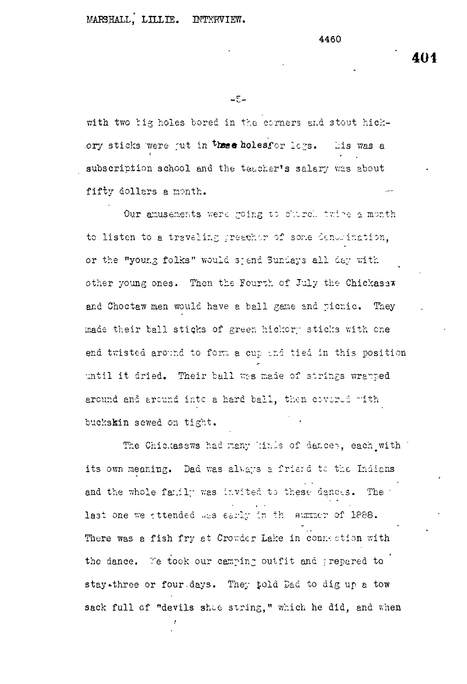## MARSHALL, LILLIE. INTERVIEW.

4460

 $-\overline{\xi}-$ 

with two big holes bored in the corners and stout hickory sticks were jut in these holesfor logs. Lis was a subscription school and the teacher's salary was about fifty dollars a month.

Our amusements were going to church twine a month to listen to a traveling greather of some denomination, or the "young folks" would sjend Sundays all day with other young ones. Then the Fourth of July the Chickasaw and Choctaw men would have a ball game and picnic. They made their ball sticks of green hickory sticks with one end twisted around to form a cup and tied in this position until it dried. Their ball was made of strings wrapped around and around into a hard ball, then covered with buckskin sewed on tight.

The Chickasaws had many kinds of dances, each with its own meaning. Dad was always a friend to the Indians and the whole family was invited to these denots. The last one we attended was early in the summer of 1888. There was a fish fry at Crowder Lake in connection with the dance. Te took our camping outfit and prepared to stay-three or four days. They told Dad to dig up a tow sack full of "devils shoe string," which he did, and when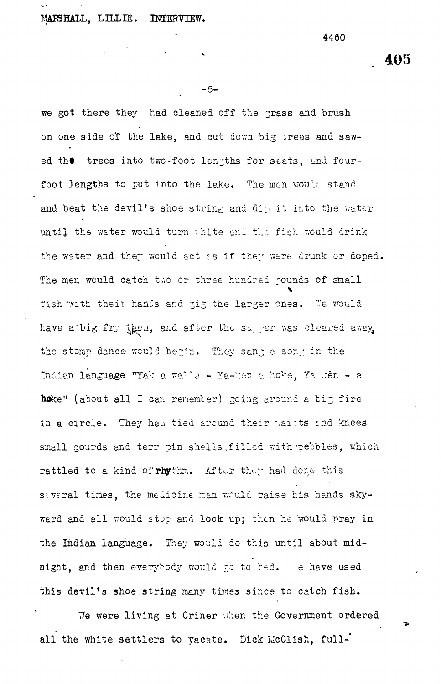## MAES HALL, LILLIE. INTERVIEW.

4460

**- 5 -**

we got there they had cleaned off the grass and brush on one side of the lake, and cut down big trees and sawed the trees into two-foot lengths for seats, and fourfoot lengths to put into the lake. The men would stand and beat the devil's shoe string and dip it ir.to the water until the water would turn thite and the fish would drink the water and they would act ss if they were drunk or doped. The men would catch two or three hundred pounds of small fish with their hands and gig the larger ones. We would have a'big fry then, and after the super was cleared away, the stomp dance would begin. They sang a song in the Indian 'language "Yak a walla - Ya-::en a hoke, Ya .:er. - a hoke" (about all I can renemter) going around a big fire in a circle. They had tied around their waists and knees small gourds and terr pin shells filled with pebbles, which rattled to a kind of rhythm. After they had done this several times, the medicine man would raise his hands skyward and all would stop and look up; then he would pray in the Indian language. They would do this until about midnight, and then everybody would go to bed. e have used this devil's shoe string many times since to catch fish.

We were living at Criner when the Government ordered all the white settlers to vacate. Dick McClish, full-'